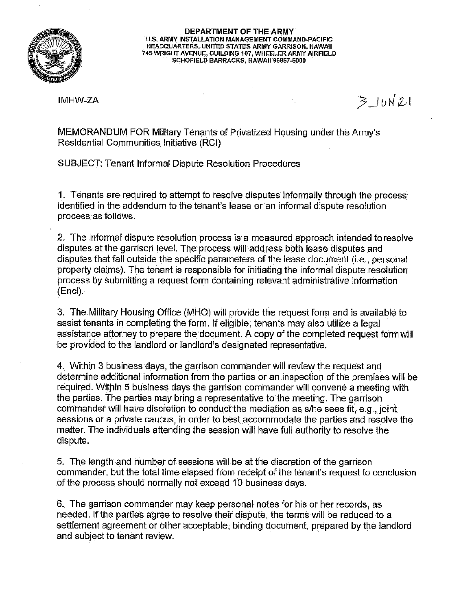

## **DEPARTMENT OF THE ARMY U.S. ARMY INSTALLATION MANAGEMENT COMMAND-PACIFIC HEADQUARTERS, UNITED STATES ARMY GARRISON, HAWAII 745 WRIGHT AVENUE, BUILDING 107, WHEELER ARMY AIRFIELD SCHOFIELD BARRACKS, HAWAII 96857-5000**

IMHW-ZA

 $320N21$ 

MEMORANDUM FOR Military Tenants of Privatized Housing under the Army's Residential Communities Initiative (RGI)

SUBJECT: Tenant Informal Dispute Resolution Procedures

**1.** Tenants are required to attempt to resolve disputes informally through the process identified in the addendum to the tenant's lease or an informal dispute resolution **process as follows.** 

2. The informal dispute resolution process is a measured approach intended to resolve disputes at the garrison level. The process will address both lease disputes and disputes that fall outside the specific parameters of the lease document (i.e., personal property claims). The tenant is responsible for initiating the informal dispute resolution process by submitting a request form containing relevant administrative information (Encl).

3. The Military Housing Office (MHO) will provide the request form and is available to assist tenants in completing the form. If eligible, tenants may also utilize a legal assistance attorney to prepare the document. A copy of the completed request form will be provided to the landlord or landlord's designated representative.

4. Within 3 business days, the garrison commander will review the request and determine additional information from the parties or an inspection of the premises will be required. Within 5 business days the garrison commander will convene a meeting with the parties. The parties may bring a representative to the meeting. The garrison commander will have discretion to conduct the mediation as s/he sees fit, e.g., joint sessions or a private caucus, in order to best accommodate the parties and resolve the matter. The individuals attending the session will have full authority to resolve the dispute.

5. The length and number of sessions will be at the discretion of the garrison commander, but the total time elapsed from receipt of the tenant's request to conclusion of the process should normally not exceed 10 business days.

**6. The garrison commander may keep personal- notes for his or her records, as**  needed. If the parties agree to resolve their dispute, the terms will be reduced to a settlement agreement or other acceptable, binding document, prepared by the landlord and subject to tenant review.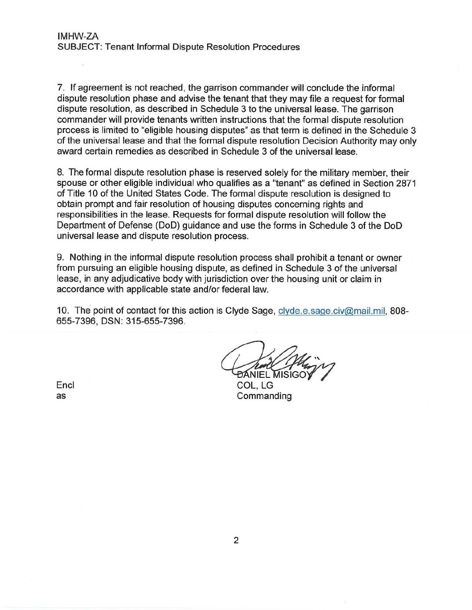7. If agreement is not reached, the garrison commander will conclude the informal dispute resolution phase and advise the tenant that they may file a request for formal dispute resolution, as described in Schedule 3 to the universal lease. The garrison commander will provide tenants written instructions that the formal dispute resolution process is limited to "eligible housing disputes" as that term is defined in the Schedule 3 of the universal lease and that the formal dispute resolution Decision Authority may only award certain remedies as described in Schedule 3 of the universal lease.

8. The formal dispute resolution phase is reserved solely for the military member, their spouse or other eligible individual who qualifies as a "tenant" as defined in Section 2871 of Title 10 of the United States Code. The formal dispute resolution is designed to obtain prompt and fair resolution of housing disputes concerning rights and responsibilities in the lease. Requests for formal dispute resolution will follow the Department of Defense (DoD) guidance and use the forms in Schedule 3 of the DoD universal lease and dispute resolution process.

9. Nothing in the informal dispute resolution process shall prohibit a tenant or owner from pursuing an eligible housing dispute, as defined in Schedule 3 of the universal lease, in any adjudicative body with jurisdiction over the housing unit or claim in accordance with applicable state and/or federal law.

10. The point of contact for this action is Clyde Sage, clyde.e.sage.civ@mail.mil, 808-655-7396, DSN: 315-655-7396.

ĐÁNIEL MISIG

COL, LG **Commanding** 

Encl as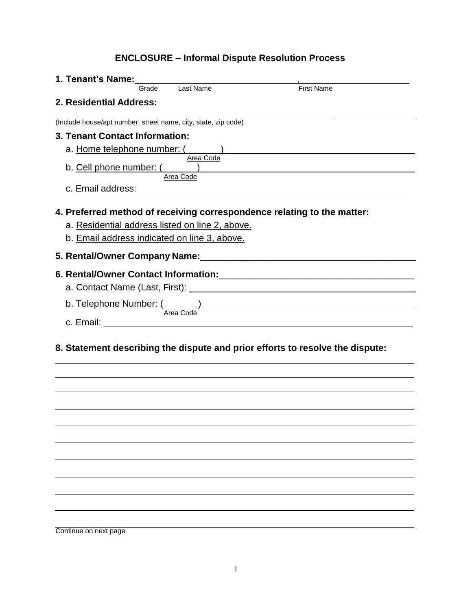## **ENCLOSURE – Informal Dispute Resolution Process**

| 1. Tenant's Name:                                                                               |                        |                                                                                                                |
|-------------------------------------------------------------------------------------------------|------------------------|----------------------------------------------------------------------------------------------------------------|
| Grade                                                                                           | Last Name              | <b>First Name</b>                                                                                              |
| 2. Residential Address:                                                                         |                        |                                                                                                                |
| (Include house/apt number, street name, city, state, zip code)                                  |                        |                                                                                                                |
| 3. Tenant Contact Information:                                                                  |                        |                                                                                                                |
| a. Home telephone number: (                                                                     |                        |                                                                                                                |
|                                                                                                 | Area Code<br>Area Code |                                                                                                                |
| c. Email address:                                                                               |                        | <u> 1989 - John Stein, Amerikaansk politiker (</u> † 1920)                                                     |
| a. Residential address listed on line 2, above.<br>b. Email address indicated on line 3, above. |                        | 4. Preferred method of receiving correspondence relating to the matter:                                        |
|                                                                                                 |                        |                                                                                                                |
|                                                                                                 |                        | a. Contact Name (Last, First): \\contact \\contact Name (Last, First): \\contact \\contact \\contact \\contact |
|                                                                                                 |                        | b. Telephone Number: $\frac{1}{Area Code}$                                                                     |
|                                                                                                 |                        |                                                                                                                |
|                                                                                                 |                        | 8. Statement describing the dispute and prior efforts to resolve the dispute:                                  |
|                                                                                                 |                        |                                                                                                                |
|                                                                                                 |                        |                                                                                                                |
|                                                                                                 |                        |                                                                                                                |
|                                                                                                 |                        |                                                                                                                |
|                                                                                                 |                        |                                                                                                                |
|                                                                                                 |                        |                                                                                                                |

Continue on next page